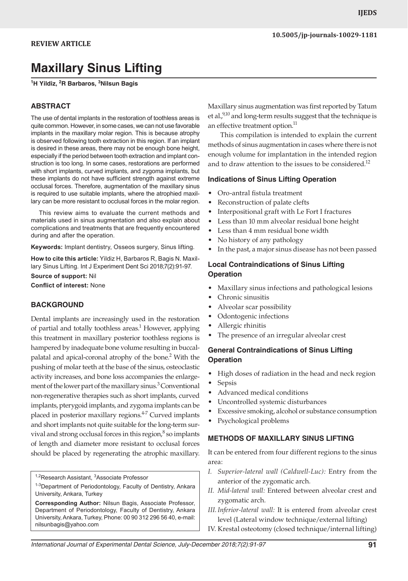# **Maxillary Sinus Lifting**

**1 H Yildiz, 2 R Barbaros, <sup>3</sup> Nilsun Bagis**

# **ABSTRACT**

The use of dental implants in the restoration of toothless areas is quite common. However, in some cases, we can not use favorable implants in the maxillary molar region. This is because atrophy is observed following tooth extraction in this region. If an implant is desired in these areas, there may not be enough bone height, especially if the period between tooth extraction and implant construction is too long. In some cases, restorations are performed with short implants, curved implants, and zygoma implants, but these implants do not have sufficient strength against extreme occlusal forces. Therefore, augmentation of the maxillary sinus is required to use suitable implants, where the atrophied maxillary can be more resistant to occlusal forces in the molar region.

 This review aims to evaluate the current methods and materials used in sinus augmentation and also explain about complications and treatments that are frequently encountered during and after the operation.

**Keywords:** Implant dentistry, Osseos surgery, Sinus lifting.

**How to cite this article:** Yildiz H, Barbaros R, Bagis N. Maxillary Sinus Lifting. Int J Experiment Dent Sci 2018;7(2):91-97.

**Source of support:** Nil

**Conflict of interest:** None

## **BACKGROUND**

Dental implants are increasingly used in the restoration of partial and totally toothless areas.<sup>1</sup> However, applying this treatment in maxillary posterior toothless regions is hampered by inadequate bone volume resulting in buccalpalatal and apical-coronal atrophy of the bone.<sup>2</sup> With the pushing of molar teeth at the base of the sinus, osteoclastic activity increases, and bone loss accompanies the enlargement of the lower part of the maxillary sinus.<sup>3</sup> Conventional non-regenerative therapies such as short implants, curved implants, pterygoid implants, and zygoma implants can be placed in posterior maxillary regions.<sup>4-7</sup> Curved implants and short implants not quite suitable for the long-term survival and strong occlusal forces in this region, $^8$  so implants of length and diameter more resistant to occlusal forces should be placed by regenerating the atrophic maxillary.

<sup>1,2</sup>Research Assistant, <sup>3</sup>Associate Professor

<sup>1-3</sup>Department of Periodontology, Faculty of Dentistry, Ankara University, Ankara, Turkey

**Corresponding Author:** Nilsun Bagis, Associate Professor, Department of Periodontology, Faculty of Dentistry, Ankara University, Ankara, Turkey, Phone: 00 90 312 296 56 40, e-mail: nilsunbagis@yahoo.com

Maxillary sinus augmentation was first reported by Tatum et al. $,9,10}$  and long-term results suggest that the technique is an effective treatment option.<sup>11</sup>

This compilation is intended to explain the current methods of sinus augmentation in cases where there is not enough volume for implantation in the intended region and to draw attention to the issues to be considered.<sup>12</sup>

#### **Indications of Sinus Lifting Operation**

- Oro-antral fistula treatment
- Reconstruction of palate clefts
- Interpositional graft with Le Fort I fractures
- Less than 10 mm alveolar residual bone height
- Less than 4 mm residual bone width
- No history of any pathology
- In the past, a major sinus disease has not been passed

### **Local Contraindications of Sinus Lifting Operation**

- Maxillary sinus infections and pathological lesions
- Chronic sinusitis
- Alveolar scar possibility
- Odontogenic infections
- Allergic rhinitis
- The presence of an irregular alveolar crest

## **General Contraindications of Sinus Lifting Operation**

- High doses of radiation in the head and neck region
- Sepsis
- Advanced medical conditions
- Uncontrolled systemic disturbances
- Excessive smoking, alcohol or substance consumption
- Psychological problems

## **METHODS OF MAXILLARY SINUS LIFTING**

It can be entered from four different regions to the sinus area:

- *I. Superior-lateral wall (Caldwell-Luc):* Entry from the anterior of the zygomatic arch.
- *II. Mid-lateral wall:* Entered between alveolar crest and zygomatic arch.
- *III.Inferior-lateral wall:* It is entered from alveolar crest level (Lateral window technique/external lifting)
- IV. Krestal osteotomy (closed technique/internal lifting)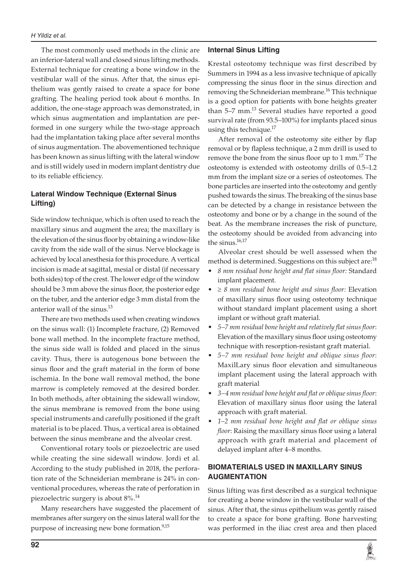The most commonly used methods in the clinic are an inferior-lateral wall and closed sinus lifting methods. External technique for creating a bone window in the vestibular wall of the sinus. After that, the sinus epithelium was gently raised to create a space for bone grafting. The healing period took about 6 months. In addition, the one-stage approach was demonstrated, in which sinus augmentation and implantation are performed in one surgery while the two-stage approach had the implantation taking place after several months of sinus augmentation. The abovementioned technique has been known as sinus lifting with the lateral window and is still widely used in modern implant dentistry due to its reliable efficiency.

# **Lateral Window Technique (External Sinus Lifting)**

Side window technique, which is often used to reach the maxillary sinus and augment the area; the maxillary is the elevation of the sinus floor by obtaining a window-like cavity from the side wall of the sinus. Nerve blockage is achieved by local anesthesia for this procedure. A vertical incision is made at sagittal, mesial or distal (if necessary both sides) top of the crest. The lower edge of the window should be 3 mm above the sinus floor, the posterior edge on the tuber, and the anterior edge 3 mm distal from the anterior wall of the sinus.<sup>13</sup>

There are two methods used when creating windows on the sinus wall: (1) Incomplete fracture, (2) Removed bone wall method. In the incomplete fracture method, the sinus side wall is folded and placed in the sinus cavity. Thus, there is autogenous bone between the sinus floor and the graft material in the form of bone ischemia. In the bone wall removal method, the bone marrow is completely removed at the desired border. In both methods, after obtaining the sidewall window, the sinus membrane is removed from the bone using special instruments and carefully positioned if the graft material is to be placed. Thus, a vertical area is obtained between the sinus membrane and the alveolar crest.

Conventional rotary tools or piezoelectric are used while creating the sine sidewall window. Jordi et al. According to the study published in 2018, the perforation rate of the Schneiderian membrane is 24% in conventional procedures, whereas the rate of perforation in piezoelectric surgery is about 8%.14

Many researchers have suggested the placement of membranes after surgery on the sinus lateral wall for the purpose of increasing new bone formation.<sup>9,15</sup>

## **Internal Sinus Lifting**

Krestal osteotomy technique was first described by Summers in 1994 as a less invasive technique of apically compressing the sinus floor in the sinus direction and removing the Schneiderian membrane.<sup>16</sup> This technique is a good option for patients with bone heights greater than  $5-7$  mm.<sup>13</sup> Several studies have reported a good survival rate (from 93.5–100%) for implants placed sinus using this technique. $17$ 

After removal of the osteotomy site either by flap removal or by flapless technique, a 2 mm drill is used to remove the bone from the sinus floor up to  $1 \text{ mm}$ .<sup>17</sup> The osteotomy is extended with osteotomy drills of 0.5–1.2 mm from the implant size or a series of osteotomes. The bone particles are inserted into the osteotomy and gently pushed towards the sinus. The breaking of the sinus base can be detected by a change in resistance between the osteotomy and bone or by a change in the sound of the beat. As the membrane increases the risk of puncture, the osteotomy should be avoided from advancing into the sinus. $16,17$ 

Alveolar crest should be well assessed when the method is determined. Suggestions on this subject are:<sup>18</sup>

- *8 mm residual bone height and flat sinus floor:* Standard implant placement.
- ≥ *8 mm residual bone height and sinus floor:* Elevation of maxillary sinus floor using osteotomy technique without standard implant placement using a short implant or without graft material.
- *5–7 mm residual bone height and relatively flat sinus floor*: Elevation of the maxillary sinus floor using osteotomy technique with resorption-resistant graft material.
- *5–7 mm residual bone height and oblique sinus floor*: MaxilLary sinus floor elevation and simultaneous implant placement using the lateral approach with graft material
- *3–4 mm residual bone height and flat or oblique sinus floor*: Elevation of maxillary sinus floor using the lateral approach with graft material.
- *1–2 mm residual bone height and flat or oblique sinus floor*: Raising the maxillary sinus floor using a lateral approach with graft material and placement of delayed implant after 4–8 months.

## **BIOMATERIALS USED IN MAXILLARY SINUS AUGMENTATION**

Sinus lifting was first described as a surgical technique for creating a bone window in the vestibular wall of the sinus. After that, the sinus epithelium was gently raised to create a space for bone grafting. Bone harvesting was performed in the iliac crest area and then placed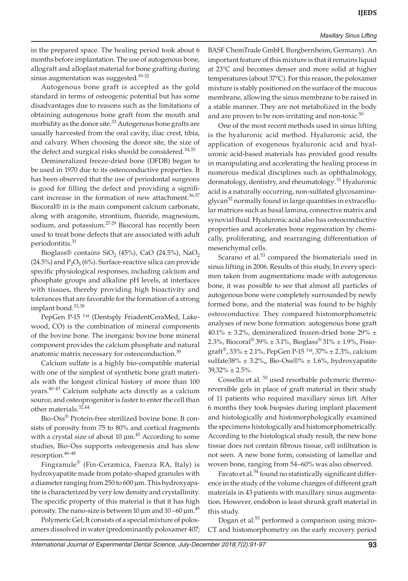#### *Maxillary Sinus Lifting*

in the prepared space. The healing period took about 6 months before implantation. The use of autogenous bone, allograft and alloplast material for bone grafting during sinus augmentation was suggested.<sup>19-32</sup>

Autogenous bone graft is accepted as the gold standard in terms of osteogenic potential but has some disadvantages due to reasons such as the limitations of obtaining autogenous bone graft from the mouth and morbidity as the donor site.<sup>33</sup> Autogenous bone grafts are usually harvested from the oral cavity, iliac crest, tibia, and calvary. When choosing the donor site, the size of the defect and surgical risks should be considered.<sup>34,35</sup>

Demineralized freeze-dried bone (DFDB) began to be used in 1970 due to its osteoconductive properties. It has been observed that the use of periodontal surgeons is good for filling the defect and providing a significant increase in the formation of new attachment.<sup>36,37</sup> Biocoral® in is the main component calcium carbonate, along with aragonite, strontium, fluoride, magnesium, sodium, and potassium.<sup>27-29</sup> Biocoral has recently been used to treat bone defects that are associated with adult periodontitis.<sup>31</sup>

Bioglass® contains SiO<sub>2</sub> (45%), CaO (24.5%), NaO<sub>2</sub> (24.5%) and  $P_2O_5(6%)$ . Surface-reactive silica can provide specific physiological responses, including calcium and phosphate groups and alkaline pH levels, at interfaces with tissues, thereby providing high bioactivity and tolerances that are favorable for the formation of a strong implant bond.<sup>33,38</sup>

PepGen P-15<sup>™</sup> (Dentsply FriadentCeraMed, Lakewood, CO) is the combination of mineral components of the bovine bone. The inorganic bovine bone mineral component provides the calcium phosphate and natural anatomic matrix necessary for osteoconduction.<sup>39</sup>

Calcium sulfate is a highly bio-compatible material with one of the simplest of synthetic bone graft materials with the longest clinical history of more than 100 years.<sup>40-43</sup> Calcium sulphate acts directly as a calcium source, and osteoprogenitor is faster to enter the cell than other materials.32,44

Bio-Oss® Protein-free sterilized bovine bone. It consists of porosity from 75 to 80% and cortical fragments with a crystal size of about 10  $\mu$ m.<sup>45</sup> According to some studies, Bio-Oss supports osteogenesis and has slow resorption.<sup>46-48</sup>

Fingranule® (Fin-Ceramica, Faenza RA, Italy) is hydroxyapatite made from potato-shaped granules with a diameter ranging from 250 to 600 μm. This hydroxyapatite is characterized by very low density and crystallinity. The specific property of this material is that it has high porosity. The nano-size is between 10  $\mu$ m and 10 –60  $\mu$ m. $^{49}$ 

Polymeric Gel; It consists of a special mixture of poloxamers dissolved in water (predominantly poloxamer 407; BASF ChemTrade GmbH, Burgbernheim, Germany). An important feature of this mixture is that it remains liquid at 23°C and becomes denser and more solid at higher temperatures (about 37°C). For this reason, the poloxamer mixture is stably positioned on the surface of the mucous membrane, allowing the sinus membrane to be raised in a stable manner. They are not metabolized in the body and are proven to be non-irritating and non-toxic. $50$ 

One of the most recent methods used in sinus lifting is the hyaluronic acid method. Hyaluronic acid, the application of exogenous hyaluronic acid and hyaluronic acid-based materials has provided good results in manipulating and accelerating the healing process in numerous medical disciplines such as ophthalmology, dermatology, dentistry, and rheumatology.<sup>51</sup> Hyaluronic acid is a naturally occurring, non-sulfated glycosaminoglycan<sup>52</sup> normally found in large quantities in extracellular matrices such as basal lamina, connective matrix and synovial fluid. Hyaluronic acid also has osteoconductive properties and accelerates bone regeneration by chemically, proliferating, and rearranging differentiation of mesenchymal cells.

Scarano et al. $53$  compared the biomaterials used in sinus lifting in 2006. Results of this study, In every specimen taken from augmentations made with autogenous bone, it was possible to see that almost all particles of autogenous bone were completely surrounded by newly formed bone, and the material was found to be highly osteoconductive. They compared histomorphometric analyses of new bone formation: autogenous bone graft  $40.1\% \pm 3.2\%$ , demineralized frozen-dried bone 29%  $\pm$ 2.3%, Biocoral<sup>®</sup> 39% ± 3.1%, Bioglass<sup>®</sup> 31% ± 1.9%, Fisiograft®, 33% ± 2.1%, PepGen P-15 IM, 37% ± 2.3%, calcium sulfate $38\% \pm 3.2\%$ , Bio-Oss $\mathcal{D}\% \pm 1.6\%$ , hydroxyapatite  $39,32\% \pm 2.5\%$ .

Cossellu et al.<sup>50</sup> used resorbable polymeric thermoreversible gels in place of graft material in their study of 11 patients who required maxillary sinus lift. After 6 months they took biopsies during implant placement and histologically and histomorphologically examined the specimens histologically and histomorphometrically. According to the histological study result, the new bone tissue does not contain fibrous tissue, cell infiltration is not seen. A new bone form, consisting of lamellar and woven bone, ranging from 54–60% was also observed.

Favato et al.<sup>54</sup> found no statistically significant difference in the study of the volume changes of different graft materials in 43 patients with maxillary sinus augmentation. However, endobon is least shrunk graft material in this study.

Dogan et al.<sup>55</sup> performed a comparison using micro-CT and histomorphometry on the early recovery period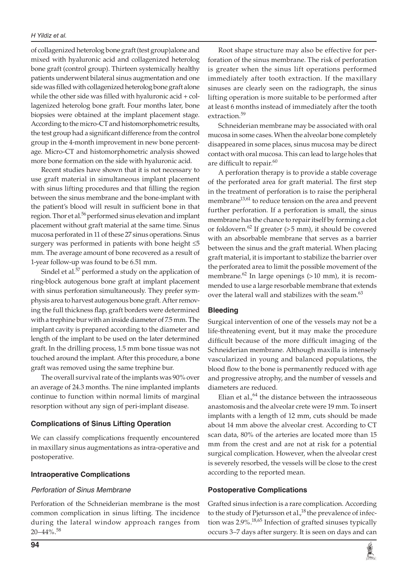#### *H Yildiz et al.*

of collagenized heterolog bone graft (test group)alone and mixed with hyaluronic acid and collagenized heterolog bone graft (control group). Thirteen systemically healthy patients underwent bilateral sinus augmentation and one side was filled with collagenized heterolog bone graft alone while the other side was filled with hyaluronic acid  $+$  collagenized heterolog bone graft. Four months later, bone biopsies were obtained at the implant placement stage. According to the micro-CT and histomorphometric results, the test group had a significant difference from the control group in the 4-month improvement in new bone percentage. Micro-CT and histomorphometric analysis showed more bone formation on the side with hyaluronic acid.

Recent studies have shown that it is not necessary to use graft material in simultaneous implant placement with sinus lifting procedures and that filling the region between the sinus membrane and the bone-implant with the patient's blood will result in sufficient bone in that region. Thor et al.<sup>56</sup> performed sinus elevation and implant placement without graft material at the same time. Sinus mucosa perforated in 11 of these 27 sinus operations. Sinus surgery was performed in patients with bone height  $\leq 5$ mm. The average amount of bone recovered as a result of 1-year follow-up was found to be 6.51 mm.

Sindel et al.<sup>57</sup> performed a study on the application of ring-block autogenous bone graft at implant placement with sinus perforation simultaneously. They prefer symphysis area to harvest autogenous bone graft. After removing the full thickness flap, graft borders were determined with a trephine bur with an inside diameter of 7.5 mm. The implant cavity is prepared according to the diameter and length of the implant to be used on the later determined graft. In the drilling process, 1.5 mm bone tissue was not touched around the implant. After this procedure, a bone graft was removed using the same trephine bur.

The overall survival rate of the implants was 90% over an average of 24.3 months. The nine implanted implants continue to function within normal limits of marginal resorption without any sign of peri-implant disease.

## **Complications of Sinus Lifting Operation**

We can classify complications frequently encountered in maxillary sinus augmentations as intra-operative and postoperative.

## **Intraoperative Complications**

## *Perforation of Sinus Membrane*

Perforation of the Schneiderian membrane is the most common complication in sinus lifting. The incidence during the lateral window approach ranges from 20–44%.<sup>58</sup>

Root shape structure may also be effective for perforation of the sinus membrane. The risk of perforation is greater when the sinus lift operations performed immediately after tooth extraction. If the maxillary sinuses are clearly seen on the radiograph, the sinus lifting operation is more suitable to be performed after at least 6 months instead of immediately after the tooth extraction.<sup>59</sup>

Schneiderian membrane may be associated with oral mucosa in some cases. When the alveolar bone completely disappeared in some places, sinus mucosa may be direct contact with oral mucosa. This can lead to large holes that are difficult to repair. $60$ 

A perforation therapy is to provide a stable coverage of the perforated area for graft material. The first step in the treatment of perforation is to raise the peripheral membrane<sup>13,61</sup> to reduce tension on the area and prevent further perforation. If a perforation is small, the sinus membrane has the chance to repair itself by forming a clot or foldovern.<sup>62</sup> If greater (> 5 mm), it should be covered with an absorbable membrane that serves as a barrier between the sinus and the graft material. When placing graft material, it is important to stabilize the barrier over the perforated area to limit the possible movement of the membrane. $62$  In large openings ( $>10$  mm), it is recommended to use a large resorbable membrane that extends over the lateral wall and stabilizes with the seam.<sup>63</sup>

## **Bleeding**

Surgical intervention of one of the vessels may not be a life-threatening event, but it may make the procedure difficult because of the more difficult imaging of the Schneiderian membrane. Although maxilla is intensely vascularized in young and balanced populations, the blood flow to the bone is permanently reduced with age and progressive atrophy, and the number of vessels and diameters are reduced.

Elian et al. $,64$  the distance between the intraosseous anastomosis and the alveolar crete were 19 mm. To insert implants with a length of 12 mm, cuts should be made about 14 mm above the alveolar crest. According to CT scan data, 80% of the arteries are located more than 15 mm from the crest and are not at risk for a potential surgical complication. However, when the alveolar crest is severely resorbed, the vessels will be close to the crest according to the reported mean.

## **Postoperative Complications**

Grafted sinus infection is a rare complication. According to the study of Pjetursson et al.,<sup>18</sup> the prevalence of infection was  $2.9\%$ .<sup>18,65</sup> Infection of grafted sinuses typically occurs 3–7 days after surgery. It is seen on days and can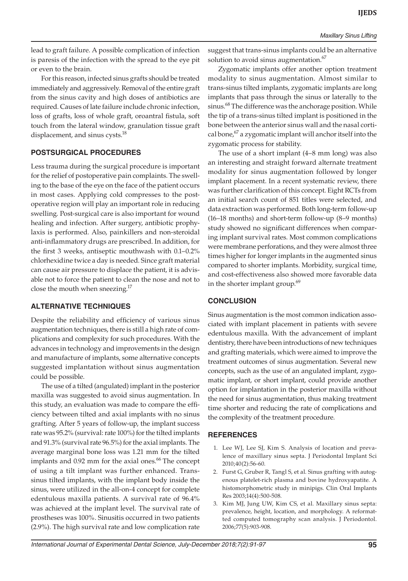lead to graft failure. A possible complication of infection is paresis of the infection with the spread to the eye pit or even to the brain.

For this reason, infected sinus grafts should be treated immediately and aggressively. Removal of the entire graft from the sinus cavity and high doses of antibiotics are required. Causes of late failure include chronic infection, loss of grafts, loss of whole graft, oroantral fistula, soft touch from the lateral window, granulation tissue graft displacement, and sinus cysts.<sup>18</sup>

# **POSTSURGICAL PROCEDURES**

Less trauma during the surgical procedure is important for the relief of postoperative pain complaints. The swelling to the base of the eye on the face of the patient occurs in most cases. Applying cold compresses to the postoperative region will play an important role in reducing swelling. Post-surgical care is also important for wound healing and infection. After surgery, antibiotic prophylaxis is performed. Also, painkillers and non-steroidal anti-inflammatory drugs are prescribed. In addition, for the first 3 weeks, antiseptic mouthwash with 0.1–0.2% chlorhexidine twice a day is needed. Since graft material can cause air pressure to displace the patient, it is advisable not to force the patient to clean the nose and not to close the mouth when sneezing. $17$ 

## **ALTERNATIVE TECHNIQUES**

Despite the reliability and efficiency of various sinus augmentation techniques, there is still a high rate of complications and complexity for such procedures. With the advances in technology and improvements in the design and manufacture of implants, some alternative concepts suggested implantation without sinus augmentation could be possible.

The use of a tilted (angulated) implant in the posterior maxilla was suggested to avoid sinus augmentation. In this study, an evaluation was made to compare the efficiency between tilted and axial implants with no sinus grafting. After 5 years of follow-up, the implant success rate was 95.2% (survival: rate 100%) for the tilted implants and 91.3% (survival rate 96.5%) for the axial implants. The average marginal bone loss was 1.21 mm for the tilted implants and 0.92 mm for the axial ones.<sup>66</sup> The concept of using a tilt implant was further enhanced. Transsinus tilted implants, with the implant body inside the sinus, were utilized in the all-on-4 concept for complete edentulous maxilla patients. A survival rate of 96.4% was achieved at the implant level. The survival rate of prostheses was 100%. Sinusitis occurred in two patients (2.9%). The high survival rate and low complication rate

suggest that trans-sinus implants could be an alternative solution to avoid sinus augmentation.<sup>67</sup>

Zygomatic implants offer another option treatment modality to sinus augmentation. Almost similar to trans-sinus tilted implants, zygomatic implants are long implants that pass through the sinus or laterally to the sinus.<sup>68</sup> The difference was the anchorage position. While the tip of a trans-sinus tilted implant is positioned in the bone between the anterior sinus wall and the nasal cortical bone, $67$  a zygomatic implant will anchor itself into the zygomatic process for stability.

The use of a short implant (4–8 mm long) was also an interesting and straight forward alternate treatment modality for sinus augmentation followed by longer implant placement. In a recent systematic review, there was further clarification of this concept. Eight RCTs from an initial search count of 851 titles were selected, and data extraction was performed. Both long-term follow-up (16–18 months) and short-term follow-up (8–9 months) study showed no significant differences when comparing implant survival rates. Most common complications were membrane perforations, and they were almost three times higher for longer implants in the augmented sinus compared to shorter implants. Morbidity, surgical time, and cost-effectiveness also showed more favorable data in the shorter implant group.<sup>69</sup>

# **CONCLUSION**

Sinus augmentation is the most common indication associated with implant placement in patients with severe edentulous maxilla. With the advancement of implant dentistry, there have been introductions of new techniques and grafting materials, which were aimed to improve the treatment outcomes of sinus augmentation. Several new concepts, such as the use of an angulated implant, zygomatic implant, or short implant, could provide another option for implantation in the posterior maxilla without the need for sinus augmentation, thus making treatment time shorter and reducing the rate of complications and the complexity of the treatment procedure.

## **REFERENCES**

- 1. Lee WJ, Lee SJ, Kim S. Analysis of location and prevalence of maxillary sinus septa. J Periodontal Implant Sci 2010;40(2):56-60.
- 2. Furst G, Gruber R, Tangl S, et al. Sinus grafting with autogenous platelet-rich plasma and bovine hydroxyapatite. A histomorphometric study in minipigs. Clin Oral Implants Res 2003;14(4):500-508.
- 3. Kim MJ, Jung UW, Kim CS, et al. Maxillary sinus septa: prevalence, height, location, and morphology. A reformatted computed tomography scan analysis. J Periodontol. 2006;77(5):903-908.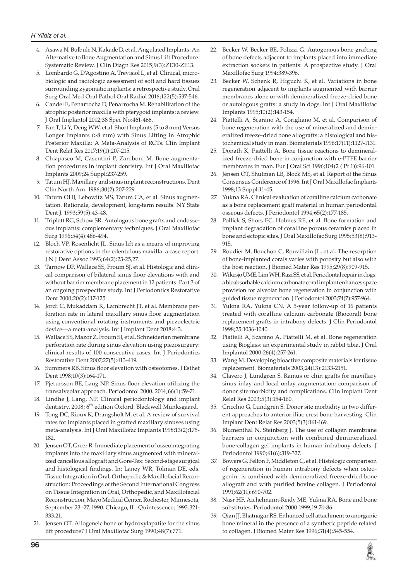- 4. Asawa N, Bulbule N, Kakade D, et al. Angulated Implants: An Alternative to Bone Augmentation and Sinus Lift Procedure: Systematic Review. J Clin Diagn Res 2015;9(3):ZE10-ZE13.
- 5. Lombardo G, D'Agostino A, Trevisiol L, et al. Clinical, microbiologic and radiologic assessment of soft and hard tissues surrounding zygomatic implants: a retrospective study. Oral Surg Oral Med Oral Pathol Oral Radiol 2016;122(5):537-546.
- 6. Candel E, Penarrocha D, Penarrocha M. Rehabilitation of the atrophic posterior maxilla with pterygoid implants: a review. J Oral Implantol 2012;38 Spec No:461-466.
- 7. Fan T, Li Y, Deng WW, et al. Short Implants (5 to 8 mm) Versus Longer Implants (>8 mm) with Sinus Lifting in Atrophic Posterior Maxilla: A Meta-Analysis of RCTs. Clin Implant Dent Relat Res 2017;19(1):207-215.
- 8. Chiapasco M, Casentini P, Zaniboni M. Bone augmentation procedures in implant dentistry. Int J Oral Maxillofac Implants 2009;24 Suppl:237-259.
- 9. Tatum HJ. Maxillary and sinus implant reconstructions. Dent Clin North Am. 1986;30(2):207-229.
- 10. Tatum OHJ, Lebowitz MS, Tatum CA, et al. Sinus augmentation. Rationale, development, long-term results. NY State Dent J. 1993;59(5):43-48.
- 11. Triplett RG, Schow SR. Autologous bone grafts and endosseous implants: complementary techniques. J Oral Maxillofac Surg 1996;54(4):486-494.
- 12. Bloch VP, Rosenlicht JL. Sinus lift as a means of improving restorative options in the edentulous maxilla: a case report. J N J Dent Assoc 1993;64(2):23-25,27.
- 13. Tarnow DP, Wallace SS, Froum SJ, et al. Histologic and clinical comparison of bilateral sinus floor elevations with and without barrier membrane placement in 12 patients: Part 3 of an ongoing prospective study. Int J Periodontics Restorative Dent 2000;20(2):117-125.
- 14. Jordi C, Mukaddam K, Lambrecht JT, et al. Membrane perforation rate in lateral maxillary sinus floor augmentation using conventional rotating instruments and piezoelectric device—a meta-analysis. Int J Implant Dent 2018;4:3.
- 15. Wallace SS, Mazor Z, Froum SJ, et al. Schneiderian membrane perforation rate during sinus elevation using piezosurgery: clinical results of 100 consecutive cases. Int J Periodontics Restorative Dent 2007;27(5):413-419.
- 16. Summers RB. Sinus floor elevation with osteotomes. J Esthet Dent 1998;10(3):164-171.
- 17. Pjetursson BE, Lang NP. Sinus floor elevation utilizing the transalveolar approach. Periodontol 2000. 2014;66(1):59-71.
- 18. Lindhe J, Lang, NP. Clinical periodontology and implant dentistry. 2008; 6<sup>th</sup> edition Oxford: Blackwell Munksgaard.
- 19. Tong DC, Rioux K, Drangsholt M, et al. A review of survival rates for implants placed in grafted maxillary sinuses using meta-analysis. Int J Oral Maxillofac Implants 1998;13(2):175- 182.
- 20. Jensen OT, Greer R. Immediate placement of osseointegrating implants into the maxillary sinus augmented with mineralized cancellous allograft and Gore-Tex: Second-stage surgical and histological findings. In: Laney WR, Tolman DE, eds. Tissue Integration in Oral, Orthopedic & Maxillofacial Reconstruction: Proceedings of the Second International Congress on Tissue Integration in Oral, Orthopedic, and Maxillofacial Reconstruction, Mayo Medical Center, Rochester, Minnesota, September 23–27, 1990. Chicago, IL: Quintessence; 1992:321- 333.21.
- 21. Jensen OT. Allogeneic bone or hydroxylapatite for the sinus lift procedure? J Oral Maxillofac Surg 1990;48(7):771.
- 22. Becker W, Becker BE, Polizzi G. Autogenous bone grafting of bone defects adjacent to implants placed into immediate extraction sockets in patients: A prospective study. J Oral Maxillofac Surg 1994:389-396.
- 23. Becker W, Schenk R, Higuchi K, et al. Variations in bone regeneration adjacent to implants augmented with barrier membranes alone or with demineralized freeze-dried bone or autologous grafts: a study in dogs. Int J Oral Maxillofac Implants 1995;10(2):143-154.
- 24. Piattelli A, Scarano A, Corigliano M, et al. Comparison of bone regeneration with the use of mineralized and demineralized freeze-dried bone allografts: a histological and histochemical study in man. Biomaterials 1996;17(11):1127-1131.
- 25. Donath K, Piattelli A. Bone tissue reactions to demineralized freeze-dried bone in conjunction with e-PTFE barrier membranes in man. Eur J Oral Sci 1996;104(2 ( Pt 1)):96-101.
- 26. Jensen OT, Shulman LB, Block MS, et al. Report of the Sinus Consensus Conference of 1996. Int J Oral Maxillofac Implants 1998;13 Suppl:11-45.
- 27. Yukna RA. Clinical evaluation of coralline calcium carbonate as a bone replacement graft material in human periodontal osseous defects. J Periodontol 1994;65(2):177-185.
- 28. Pollick S, Shors EC, Holmes RE, et al. Bone formation and implant degradation of coralline porous ceramics placed in bone and ectopic sites. J Oral Maxillofac Surg 1995;53(8):913- 915.
- 29. Roudier M, Bouchon C, Rouvillain JL, et al. The resorption of bone-implanted corals varies with porosity but also with the host reaction. J Biomed Mater Res 1995;29(8):909-915.
- 30. Wikesjo UME, Lim WH, Razi SS, et al. Periodontal repair in dogs: a bioabsorbable calcium carbonate coral implant enhances space provision for alveolar bone regeneration in conjunction with guided tissue regeneration. J Periodontol 2003;74(7):957-964.
- 31. Yukna RA, Yukna CN. A 5-year follow-up of 16 patients treated with coralline calcium carbonate (Biocoral) bone replacement grafts in intrabony defects. J Clin Periodontol 1998;25:1036-1040.
- 32. Piattelli A, Scarano A, Piattelli M, et al. Bone regeneration using Bioglass: an experimental study in rabbit tibia. J Oral Implantol 2000;26(4):257-261.
- 33. Wang M. Developing bioactive composite materials for tissue replacement. Biomaterials 2003;24(13):2133-2151.
- 34. Clavero J, Lundgren S. Ramus or chin grafts for maxillary sinus inlay and local onlay augmentation: comparison of donor site morbidity and complications. Clin Implant Dent Relat Res 2003;5(3):154-160.
- 35. Cricchio G, Lundgren S. Donor site morbidity in two different approaches to anterior iliac crest bone harvesting. Clin Implant Dent Relat Res 2003;5(3):161-169.
- 36. Blumenthal N, Steinberg J. The use of collagen membrane barriers in conjunction with combined demineralized bone-collagen gel implants in human infrabony defects. J Periodontol 1990;61(6):319-327.
- 37. Bowers G, Felton F, Middleton C, et al. Histologic comparison of regeneration in human intrabony defects when osteogenin is combined with demineralized freeze-dried bone allograft and with purified bovine collagen. J Periodontol 1991;62(11):690-702.
- 38. Nasr HF, Aichelmann-Reidy ME, Yukna RA. Bone and bone substitutes. Periodontol 2000 1999;19:74-86.
- 39. Qian JJ, Bhatnagar RS. Enhanced cell attachment to anorganic bone mineral in the presence of a synthetic peptide related to collagen. J Biomed Mater Res 1996;31(4):545-554.